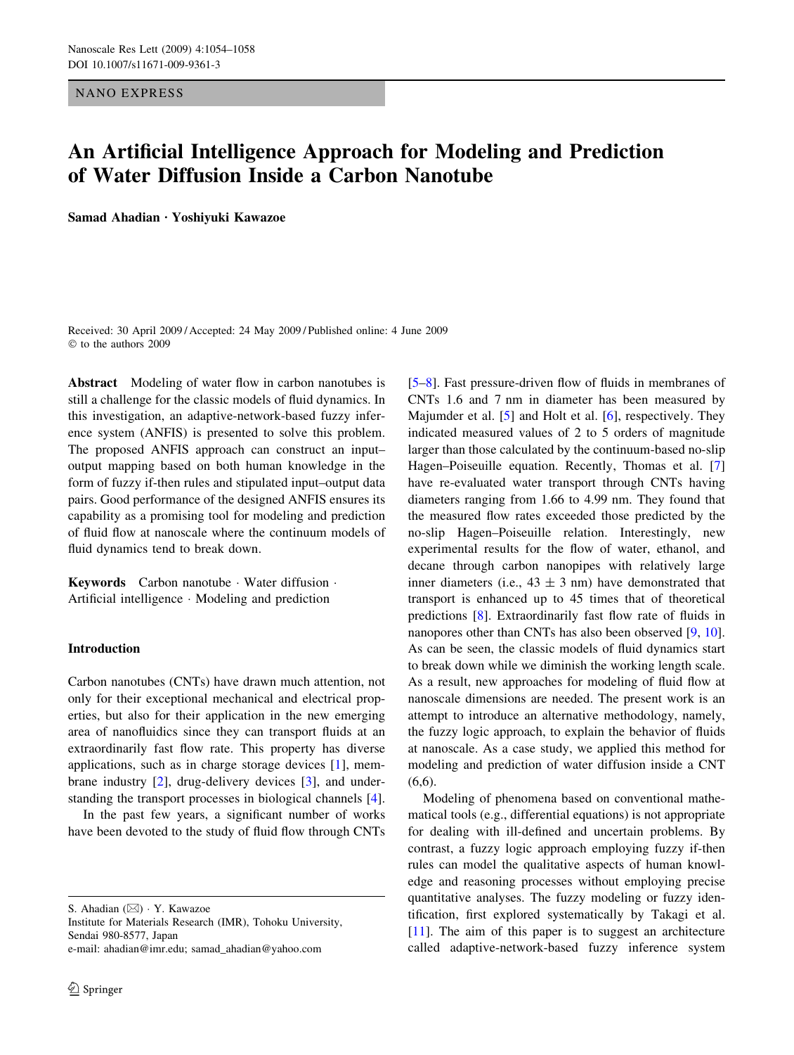NANO EXPRESS

# An Artificial Intelligence Approach for Modeling and Prediction of Water Diffusion Inside a Carbon Nanotube

Samad Ahadian · Yoshiyuki Kawazoe

Received: 30 April 2009 / Accepted: 24 May 2009 / Published online: 4 June 2009  $©$  to the authors 2009

Abstract Modeling of water flow in carbon nanotubes is still a challenge for the classic models of fluid dynamics. In this investigation, an adaptive-network-based fuzzy inference system (ANFIS) is presented to solve this problem. The proposed ANFIS approach can construct an input– output mapping based on both human knowledge in the form of fuzzy if-then rules and stipulated input–output data pairs. Good performance of the designed ANFIS ensures its capability as a promising tool for modeling and prediction of fluid flow at nanoscale where the continuum models of fluid dynamics tend to break down.

**Keywords** Carbon nanotube  $\cdot$  Water diffusion  $\cdot$ Artificial intelligence  $\cdot$  Modeling and prediction

# Introduction

Carbon nanotubes (CNTs) have drawn much attention, not only for their exceptional mechanical and electrical properties, but also for their application in the new emerging area of nanofluidics since they can transport fluids at an extraordinarily fast flow rate. This property has diverse applications, such as in charge storage devices [\[1](#page-4-0)], membrane industry [[2\]](#page-4-0), drug-delivery devices [\[3](#page-4-0)], and understanding the transport processes in biological channels [\[4](#page-4-0)].

In the past few years, a significant number of works have been devoted to the study of fluid flow through CNTs

S. Ahadian ( $\boxtimes$ ) · Y. Kawazoe

Institute for Materials Research (IMR), Tohoku University, Sendai 980-8577, Japan

e-mail: ahadian@imr.edu; samad\_ahadian@yahoo.com

[\[5–8](#page-4-0)]. Fast pressure-driven flow of fluids in membranes of CNTs 1.6 and 7 nm in diameter has been measured by Majumder et al. [\[5](#page-4-0)] and Holt et al. [\[6](#page-4-0)], respectively. They indicated measured values of 2 to 5 orders of magnitude larger than those calculated by the continuum-based no-slip Hagen–Poiseuille equation. Recently, Thomas et al. [[7\]](#page-4-0) have re-evaluated water transport through CNTs having diameters ranging from 1.66 to 4.99 nm. They found that the measured flow rates exceeded those predicted by the no-slip Hagen–Poiseuille relation. Interestingly, new experimental results for the flow of water, ethanol, and decane through carbon nanopipes with relatively large inner diameters (i.e.,  $43 \pm 3$  nm) have demonstrated that transport is enhanced up to 45 times that of theoretical predictions [\[8](#page-4-0)]. Extraordinarily fast flow rate of fluids in nanopores other than CNTs has also been observed [\[9](#page-4-0), [10](#page-4-0)]. As can be seen, the classic models of fluid dynamics start to break down while we diminish the working length scale. As a result, new approaches for modeling of fluid flow at nanoscale dimensions are needed. The present work is an attempt to introduce an alternative methodology, namely, the fuzzy logic approach, to explain the behavior of fluids at nanoscale. As a case study, we applied this method for modeling and prediction of water diffusion inside a CNT  $(6,6)$ .

Modeling of phenomena based on conventional mathematical tools (e.g., differential equations) is not appropriate for dealing with ill-defined and uncertain problems. By contrast, a fuzzy logic approach employing fuzzy if-then rules can model the qualitative aspects of human knowledge and reasoning processes without employing precise quantitative analyses. The fuzzy modeling or fuzzy identification, first explored systematically by Takagi et al. [\[11](#page-4-0)]. The aim of this paper is to suggest an architecture called adaptive-network-based fuzzy inference system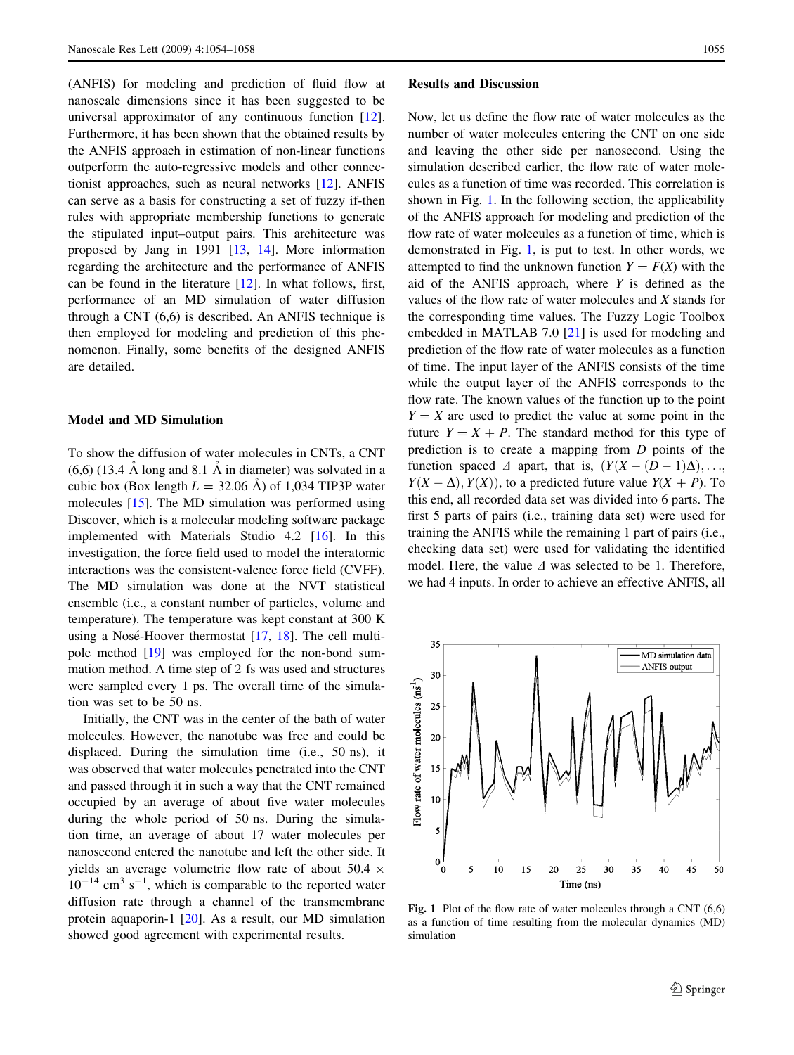<span id="page-1-0"></span>(ANFIS) for modeling and prediction of fluid flow at nanoscale dimensions since it has been suggested to be universal approximator of any continuous function [\[12](#page-4-0)]. Furthermore, it has been shown that the obtained results by the ANFIS approach in estimation of non-linear functions outperform the auto-regressive models and other connectionist approaches, such as neural networks [\[12](#page-4-0)]. ANFIS can serve as a basis for constructing a set of fuzzy if-then rules with appropriate membership functions to generate the stipulated input–output pairs. This architecture was proposed by Jang in 1991 [\[13](#page-4-0), [14](#page-4-0)]. More information regarding the architecture and the performance of ANFIS can be found in the literature [\[12](#page-4-0)]. In what follows, first, performance of an MD simulation of water diffusion through a CNT (6,6) is described. An ANFIS technique is then employed for modeling and prediction of this phenomenon. Finally, some benefits of the designed ANFIS are detailed.

### Model and MD Simulation

To show the diffusion of water molecules in CNTs, a CNT  $(6,6)$  (13.4 Å long and 8.1 Å in diameter) was solvated in a cubic box (Box length  $L = 32.06 \text{ Å}$ ) of 1,034 TIP3P water molecules [[15\]](#page-4-0). The MD simulation was performed using Discover, which is a molecular modeling software package implemented with Materials Studio 4.2 [\[16](#page-4-0)]. In this investigation, the force field used to model the interatomic interactions was the consistent-valence force field (CVFF). The MD simulation was done at the NVT statistical ensemble (i.e., a constant number of particles, volume and temperature). The temperature was kept constant at 300 K using a Nosé-Hoover thermostat  $[17, 18]$  $[17, 18]$  $[17, 18]$ . The cell multipole method [[19\]](#page-4-0) was employed for the non-bond summation method. A time step of 2 fs was used and structures were sampled every 1 ps. The overall time of the simulation was set to be 50 ns.

Initially, the CNT was in the center of the bath of water molecules. However, the nanotube was free and could be displaced. During the simulation time (i.e., 50 ns), it was observed that water molecules penetrated into the CNT and passed through it in such a way that the CNT remained occupied by an average of about five water molecules during the whole period of 50 ns. During the simulation time, an average of about 17 water molecules per nanosecond entered the nanotube and left the other side. It yields an average volumetric flow rate of about 50.4  $\times$  $10^{-14}$  cm<sup>3</sup> s<sup>-1</sup>, which is comparable to the reported water diffusion rate through a channel of the transmembrane protein aquaporin-1 [[20\]](#page-4-0). As a result, our MD simulation showed good agreement with experimental results.

#### Results and Discussion

Now, let us define the flow rate of water molecules as the number of water molecules entering the CNT on one side and leaving the other side per nanosecond. Using the simulation described earlier, the flow rate of water molecules as a function of time was recorded. This correlation is shown in Fig. 1. In the following section, the applicability of the ANFIS approach for modeling and prediction of the flow rate of water molecules as a function of time, which is demonstrated in Fig. 1, is put to test. In other words, we attempted to find the unknown function  $Y = F(X)$  with the aid of the ANFIS approach, where  $Y$  is defined as the values of the flow rate of water molecules and X stands for the corresponding time values. The Fuzzy Logic Toolbox embedded in MATLAB 7.0 [[21\]](#page-4-0) is used for modeling and prediction of the flow rate of water molecules as a function of time. The input layer of the ANFIS consists of the time while the output layer of the ANFIS corresponds to the flow rate. The known values of the function up to the point  $Y = X$  are used to predict the value at some point in the future  $Y = X + P$ . The standard method for this type of prediction is to create a mapping from D points of the function spaced  $\Delta$  apart, that is,  $(Y(X - (D-1)\Delta), \ldots,$  $Y(X - \Delta), Y(X)$ , to a predicted future value  $Y(X + P)$ . To this end, all recorded data set was divided into 6 parts. The first 5 parts of pairs (i.e., training data set) were used for training the ANFIS while the remaining 1 part of pairs (i.e., checking data set) were used for validating the identified model. Here, the value  $\Delta$  was selected to be 1. Therefore, we had 4 inputs. In order to achieve an effective ANFIS, all



Fig. 1 Plot of the flow rate of water molecules through a CNT (6,6) as a function of time resulting from the molecular dynamics (MD) simulation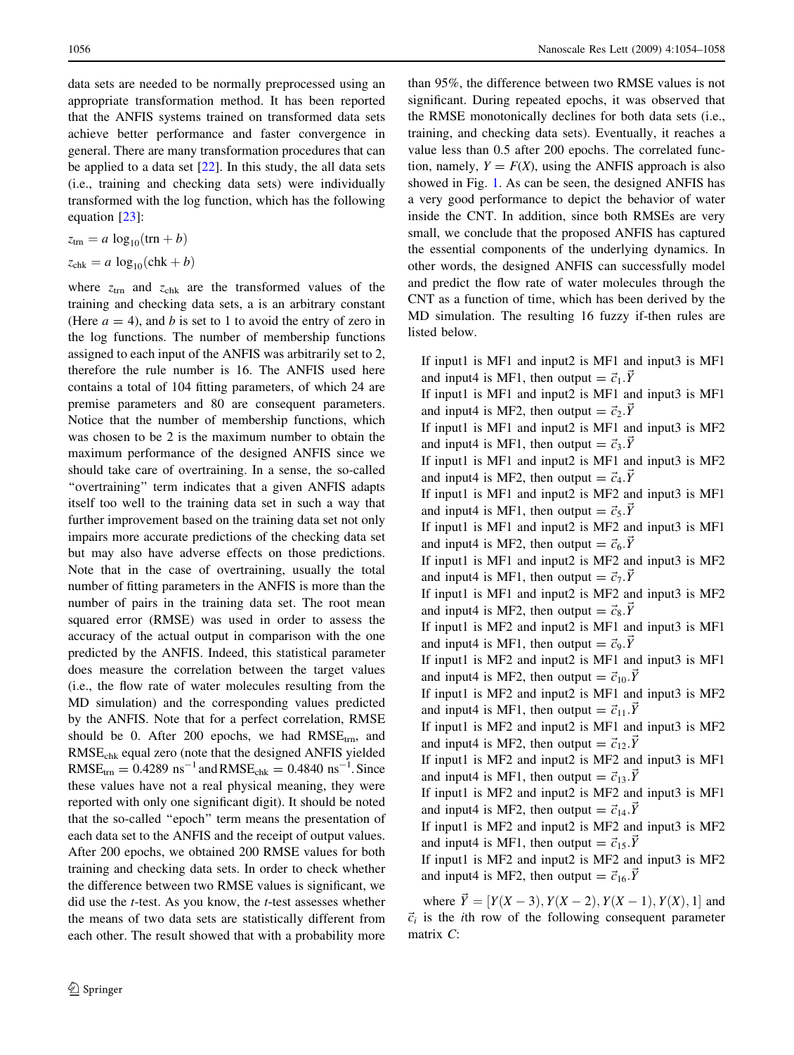data sets are needed to be normally preprocessed using an appropriate transformation method. It has been reported that the ANFIS systems trained on transformed data sets achieve better performance and faster convergence in general. There are many transformation procedures that can be applied to a data set  $[22]$  $[22]$ . In this study, the all data sets (i.e., training and checking data sets) were individually transformed with the log function, which has the following equation [\[23](#page-4-0)]:

$$
z_{\text{trn}} = a \log_{10}(\text{trn} + b)
$$

$$
z_{\text{chk}} = a \log_{10}(\text{chk} + b)
$$

where  $z_{\text{trn}}$  and  $z_{\text{chk}}$  are the transformed values of the training and checking data sets, a is an arbitrary constant (Here  $a = 4$ ), and b is set to 1 to avoid the entry of zero in the log functions. The number of membership functions assigned to each input of the ANFIS was arbitrarily set to 2, therefore the rule number is 16. The ANFIS used here contains a total of 104 fitting parameters, of which 24 are premise parameters and 80 are consequent parameters. Notice that the number of membership functions, which was chosen to be 2 is the maximum number to obtain the maximum performance of the designed ANFIS since we should take care of overtraining. In a sense, the so-called "overtraining" term indicates that a given ANFIS adapts itself too well to the training data set in such a way that further improvement based on the training data set not only impairs more accurate predictions of the checking data set but may also have adverse effects on those predictions. Note that in the case of overtraining, usually the total number of fitting parameters in the ANFIS is more than the number of pairs in the training data set. The root mean squared error (RMSE) was used in order to assess the accuracy of the actual output in comparison with the one predicted by the ANFIS. Indeed, this statistical parameter does measure the correlation between the target values (i.e., the flow rate of water molecules resulting from the MD simulation) and the corresponding values predicted by the ANFIS. Note that for a perfect correlation, RMSE should be 0. After 200 epochs, we had  $RMSE_{trn}$ , and RMSEchk equal zero (note that the designed ANFIS yielded  $RMSE_{\text{trn}} = 0.4289 \text{ ns}^{-1}$  and  $RMSE_{\text{chk}} = 0.4840 \text{ ns}^{-1}$ . Since these values have not a real physical meaning, they were reported with only one significant digit). It should be noted that the so-called ''epoch'' term means the presentation of each data set to the ANFIS and the receipt of output values. After 200 epochs, we obtained 200 RMSE values for both training and checking data sets. In order to check whether the difference between two RMSE values is significant, we did use the t-test. As you know, the t-test assesses whether the means of two data sets are statistically different from each other. The result showed that with a probability more

than 95%, the difference between two RMSE values is not significant. During repeated epochs, it was observed that the RMSE monotonically declines for both data sets (i.e., training, and checking data sets). Eventually, it reaches a value less than 0.5 after 200 epochs. The correlated function, namely,  $Y = F(X)$ , using the ANFIS approach is also showed in Fig. [1](#page-1-0). As can be seen, the designed ANFIS has a very good performance to depict the behavior of water inside the CNT. In addition, since both RMSEs are very small, we conclude that the proposed ANFIS has captured the essential components of the underlying dynamics. In other words, the designed ANFIS can successfully model and predict the flow rate of water molecules through the CNT as a function of time, which has been derived by the MD simulation. The resulting 16 fuzzy if-then rules are listed below.

If input1 is MF1 and input2 is MF1 and input3 is MF1 and input4 is MF1, then output  $= \vec{c}_1 \cdot \vec{Y}$ If input1 is MF1 and input2 is MF1 and input3 is MF1 and input4 is MF2, then output  $= \vec{c}_2 \cdot \vec{Y}$ If input1 is MF1 and input2 is MF1 and input3 is MF2 and input4 is MF1, then output  $= \vec{c}_3 \cdot \vec{Y}$ If input1 is MF1 and input2 is MF1 and input3 is MF2 and input4 is MF2, then output  $= \vec{c}_4 \cdot \vec{Y}$ If input1 is MF1 and input2 is MF2 and input3 is MF1 and input4 is MF1, then output  $= \vec{c}_5 \cdot \vec{Y}$ If input1 is MF1 and input2 is MF2 and input3 is MF1 and input4 is MF2, then output =  $\vec{c}_6$ .  $\vec{Y}$ If input1 is MF1 and input2 is MF2 and input3 is MF2 and input4 is MF1, then output  $= \vec{c}_7 \cdot \vec{Y}$ If input1 is MF1 and input2 is MF2 and input3 is MF2 and input4 is MF2, then output =  $\vec{c}_8 \cdot \vec{Y}$ If input1 is MF2 and input2 is MF1 and input3 is MF1 and input4 is MF1, then output  $= \vec{c}_9 \cdot \vec{Y}$ If input1 is MF2 and input2 is MF1 and input3 is MF1 and input4 is MF2, then output  $= \vec{c}_{10}.\vec{Y}$ If input1 is MF2 and input2 is MF1 and input3 is MF2 and input4 is MF1, then output =  $\vec{c}_{11}$ . Y If input1 is MF2 and input2 is MF1 and input3 is MF2 and input4 is MF2, then output  $= \vec{c}_{12} \cdot \vec{Y}$ If input1 is MF2 and input2 is MF2 and input3 is MF1 and input4 is MF1, then output  $= \vec{c}_{13}.\vec{Y}$ If input1 is MF2 and input2 is MF2 and input3 is MF1 and input4 is MF2, then output  $= \vec{c}_{14}.\vec{Y}$ If input1 is MF2 and input2 is MF2 and input3 is MF2 and input4 is MF1, then output  $= \vec{c}_{15} \cdot \vec{Y}$ If input1 is MF2 and input2 is MF2 and input3 is MF2 and input4 is MF2, then output =  $\vec{c}_{16}$ . Y

where  $\vec{Y} = [Y(X-3), Y(X-2), Y(X-1), Y(X), 1]$  and  $\vec{c}_i$  is the *i*th row of the following consequent parameter matrix C: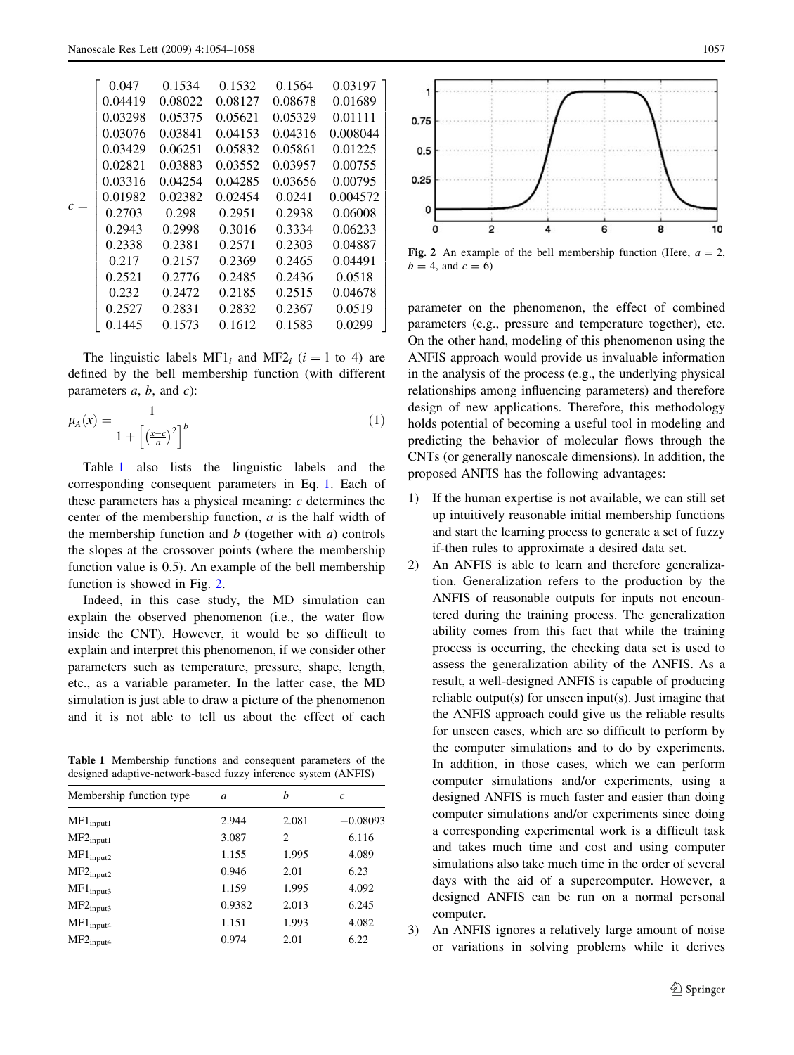|       | 0.047   | 0.1534  | 0.1532  | 0.1564  | 0.03197  |  |
|-------|---------|---------|---------|---------|----------|--|
|       | 0.04419 | 0.08022 | 0.08127 | 0.08678 | 0.01689  |  |
|       | 0.03298 | 0.05375 | 0.05621 | 0.05329 | 0.01111  |  |
|       | 0.03076 | 0.03841 | 0.04153 | 0.04316 | 0.008044 |  |
|       | 0.03429 | 0.06251 | 0.05832 | 0.05861 | 0.01225  |  |
|       | 0.02821 | 0.03883 | 0.03552 | 0.03957 | 0.00755  |  |
|       | 0.03316 | 0.04254 | 0.04285 | 0.03656 | 0.00795  |  |
|       | 0.01982 | 0.02382 | 0.02454 | 0.0241  | 0.004572 |  |
| $c =$ | 0.2703  | 0.298   | 0.2951  | 0.2938  | 0.06008  |  |
|       | 0.2943  | 0.2998  | 0.3016  | 0.3334  | 0.06233  |  |
|       | 0.2338  | 0.2381  | 0.2571  | 0.2303  | 0.04887  |  |
|       | 0.217   | 0.2157  | 0.2369  | 0.2465  | 0.04491  |  |
|       | 0.2521  | 0.2776  | 0.2485  | 0.2436  | 0.0518   |  |
|       | 0.232   | 0.2472  | 0.2185  | 0.2515  | 0.04678  |  |
|       | 0.2527  | 0.2831  | 0.2832  | 0.2367  | 0.0519   |  |
|       | 0.1445  | 0.1573  | 0.1612  | 0.1583  | 0.0299   |  |

The linguistic labels MF1<sub>i</sub> and MF2<sub>i</sub> ( $i = 1$  to 4) are defined by the bell membership function (with different parameters  $a, b,$  and  $c$ ):

$$
\mu_A(x) = \frac{1}{1 + \left[\left(\frac{x - c}{a}\right)^2\right]^b} \tag{1}
$$

Table 1 also lists the linguistic labels and the corresponding consequent parameters in Eq. 1. Each of these parameters has a physical meaning:  $c$  determines the center of the membership function,  $a$  is the half width of the membership function and  $b$  (together with  $a$ ) controls the slopes at the crossover points (where the membership function value is 0.5). An example of the bell membership function is showed in Fig. 2.

Indeed, in this case study, the MD simulation can explain the observed phenomenon (i.e., the water flow inside the CNT). However, it would be so difficult to explain and interpret this phenomenon, if we consider other parameters such as temperature, pressure, shape, length, etc., as a variable parameter. In the latter case, the MD simulation is just able to draw a picture of the phenomenon and it is not able to tell us about the effect of each

Table 1 Membership functions and consequent parameters of the designed adaptive-network-based fuzzy inference system (ANFIS)

| Membership function type     | a      | h     | $\mathfrak c$ |  |
|------------------------------|--------|-------|---------------|--|
| $MF1_{input1}$               | 2.944  | 2.081 | $-0.08093$    |  |
| $MF2_{input1}$               | 3.087  | 2     | 6.116         |  |
| $\text{MF1}_{\text{input2}}$ | 1.155  | 1.995 | 4.089         |  |
| $MF2_{input2}$               | 0.946  | 2.01  | 6.23          |  |
| $MF1_{input3}$               | 1.159  | 1.995 | 4.092         |  |
| $MF2_{input3}$               | 0.9382 | 2.013 | 6.245         |  |
| $MF1_{input4}$               | 1.151  | 1.993 | 4.082         |  |
| $MF2_{input4}$               | 0.974  | 2.01  | 6.22          |  |



Fig. 2 An example of the bell membership function (Here,  $a = 2$ ,  $b = 4$ , and  $c = 6$ )

parameter on the phenomenon, the effect of combined parameters (e.g., pressure and temperature together), etc. On the other hand, modeling of this phenomenon using the ANFIS approach would provide us invaluable information in the analysis of the process (e.g., the underlying physical relationships among influencing parameters) and therefore design of new applications. Therefore, this methodology holds potential of becoming a useful tool in modeling and predicting the behavior of molecular flows through the CNTs (or generally nanoscale dimensions). In addition, the proposed ANFIS has the following advantages:

- 1) If the human expertise is not available, we can still set up intuitively reasonable initial membership functions and start the learning process to generate a set of fuzzy if-then rules to approximate a desired data set.
- 2) An ANFIS is able to learn and therefore generalization. Generalization refers to the production by the ANFIS of reasonable outputs for inputs not encountered during the training process. The generalization ability comes from this fact that while the training process is occurring, the checking data set is used to assess the generalization ability of the ANFIS. As a result, a well-designed ANFIS is capable of producing reliable output(s) for unseen input(s). Just imagine that the ANFIS approach could give us the reliable results for unseen cases, which are so difficult to perform by the computer simulations and to do by experiments. In addition, in those cases, which we can perform computer simulations and/or experiments, using a designed ANFIS is much faster and easier than doing computer simulations and/or experiments since doing a corresponding experimental work is a difficult task and takes much time and cost and using computer simulations also take much time in the order of several days with the aid of a supercomputer. However, a designed ANFIS can be run on a normal personal computer.
- 3) An ANFIS ignores a relatively large amount of noise or variations in solving problems while it derives